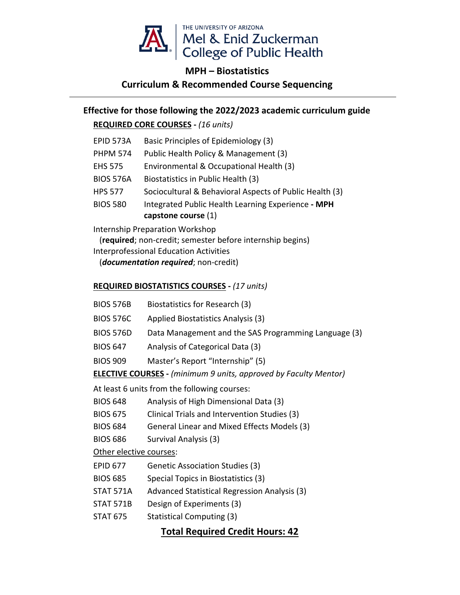

## **MPH – Biostatistics Curriculum & Recommended Course Sequencing**

# **Effective for those following the 2022/2023 academic curriculum guide**

### **REQUIRED CORE COURSES -** *(16 units)*

| EPID 573A        | Basic Principles of Epidemiology (3)                                      |  |  |
|------------------|---------------------------------------------------------------------------|--|--|
| <b>PHPM 574</b>  | Public Health Policy & Management (3)                                     |  |  |
| <b>EHS 575</b>   | Environmental & Occupational Health (3)                                   |  |  |
| <b>BIOS 576A</b> | Biostatistics in Public Health (3)                                        |  |  |
| <b>HPS 577</b>   | Sociocultural & Behavioral Aspects of Public Health (3)                   |  |  |
| <b>BIOS 580</b>  | Integrated Public Health Learning Experience - MPH<br>capstone course (1) |  |  |
|                  |                                                                           |  |  |

Internship Preparation Workshop

(**required**; non-credit; semester before internship begins)

Interprofessional Education Activities

(*documentation required*; non-credit)

#### **REQUIRED BIOSTATISTICS COURSES -** *(17 units)*

- BIOS 576B Biostatistics for Research (3)
- BIOS 576C Applied Biostatistics Analysis (3)
- BIOS 576D Data Management and the SAS Programming Language (3)
- BIOS 647 Analysis of Categorical Data (3)
- BIOS 909 Master's Report "Internship" (5)

**ELECTIVE COURSES -** *(minimum 9 units, approved by Faculty Mentor)*

At least 6 units from the following courses:

- BIOS 648 Analysis of High Dimensional Data (3)
- BIOS 675 Clinical Trials and Intervention Studies (3)
- BIOS 684 General Linear and Mixed Effects Models (3)
- BIOS 686 Survival Analysis (3)

Other elective courses:

- EPID 677 Genetic Association Studies (3)
- BIOS 685 Special Topics in Biostatistics (3)
- STAT 571A Advanced Statistical Regression Analysis (3)
- STAT 571B Design of Experiments (3)
- STAT 675 Statistical Computing (3)

## **Total Required Credit Hours: 42**